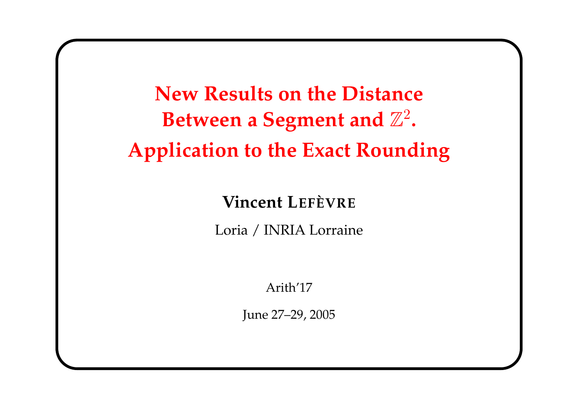New Results on the Distance Between a Segment and  $\mathbb{Z}^2$ . Application to the Exact Rounding

Vincent LEFÈVRE

Loria / INRIA Lorraine

Arith'17

June 27–29, 2005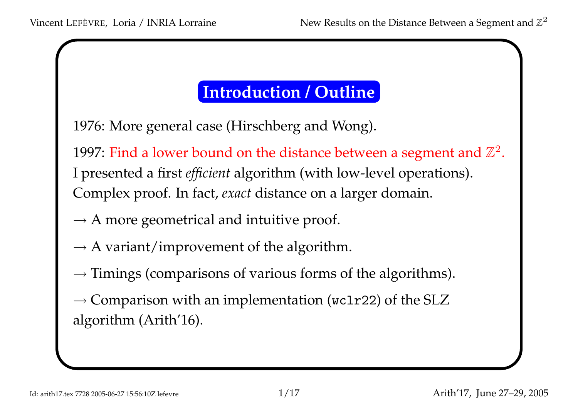## Introduction / Outline

1976: More general case (Hirschberg and Wong).

1997: Find a lower bound on the distance between a segment and  $\mathbb{Z}^2.$ <sup>I</sup> presented <sup>a</sup> first efficient algorithm (with low-level operations). Complex proof. In fact, exact distance on <sup>a</sup> larger domain.

- $\rightarrow$  A more geometrical and intuitive proof.
- $\rightarrow$  A variant/improvement of the algorithm.
- $\rightarrow$  Timings (comparisons of various forms of the algorithms).

 $\rightarrow$  Comparison with an implementation (wc1r22) of the SLZ algorithm (Arith'16).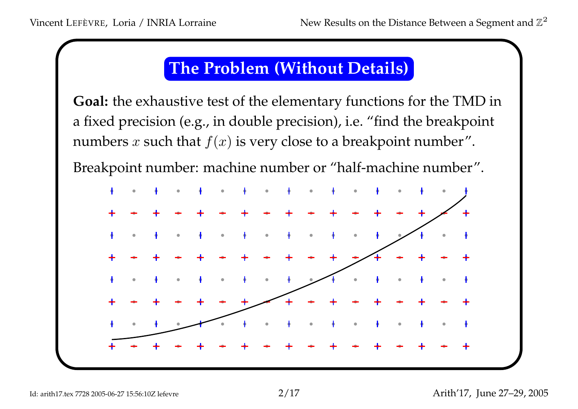## The Problem (Without Details)

**Goal:** the exhaustive test of the elementary functions for the TMD in <sup>a</sup> fixed precision (e.g., in double precision), i.e. "find the breakpoint numbers  $x$  such that  $f(x)$  is very close to a breakpoint number".

Breakpoint number: machine number or "half-machine number".

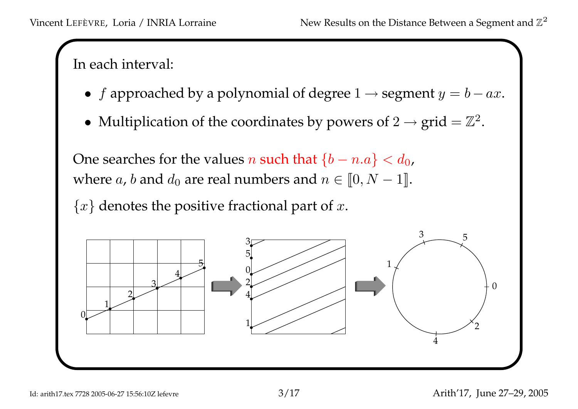In each interval:

- f approached by a polynomial of degree  $1 \rightarrow$  segment  $y = b ax$ .
- Multiplication of the coordinates by powers of  $2 \rightarrow \text{grid} = \mathbb{Z}^2$ .

One searches for the values  $n$  such that  $\{b-n.a\} < d_0$ , where  $a$ ,  $b$  and  $d_0$  are real numbers and  $n \in [\![ 0,N-1 ]\!]$ .

 $\{x\}$  denotes the positive fractional part of x.

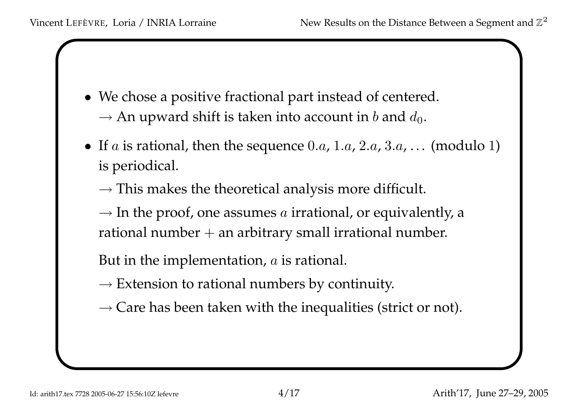- We chose <sup>a</sup> positive fractional par<sup>t</sup> instead of centered.  $\rightarrow$  An upward shift is taken into account in b and  $d_0$ .
- If  $a$  is rational, then the sequence 0.a, 1.a, 2.a, 3.a, ... (modulo 1) is periodical.
	- $\rightarrow$  This makes the theoretical analysis more difficult.
	- $\rightarrow$  In the proof, one assumes a irrational, or equivalently, a rational number <sup>+</sup> an arbitrary small irrational number.
	- But in the implementation,  $a$  is rational.
	- $\rightarrow$  Extension to rational numbers by continuity.
	- $\rightarrow$  Care has been taken with the inequalities (strict or not).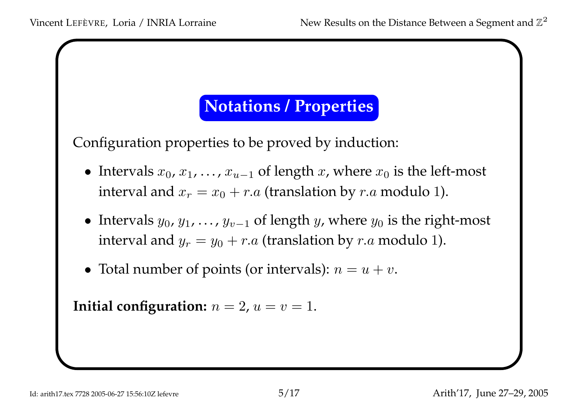#### Notations / Properties

Configuration properties to be proved by induction:

- Intervals  $x_0, x_1, \ldots, x_{u-1}$  of length  $x$ , where  $x_0$  is the left-most interval and  $x_r = x_0 + r.a$  (translation by  $r.a$  modulo 1).
- Intervals  $y_0, y_1, \ldots, y_{v-1}$  of length  $y$ , where  $y_0$  is the right-most interval and  $y_r = y_0 + r.a$  (translation by  $r.a$  modulo 1).
- Total number of points (or intervals):  $n = u + v$ .

Initial configuration:  $n=2$ ,  $u=v=1.$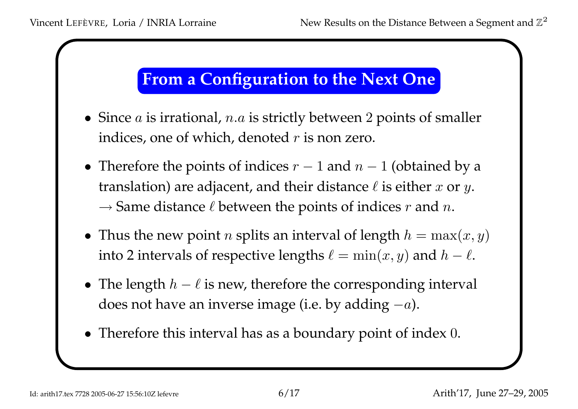#### From <sup>a</sup> Configuration to the Next One

- Since  $a$  is irrational,  $n.a$  is strictly between 2 points of smaller indices, one of which, denoted  $r$  is non zero.
- Therefore the points of indices  $r-1$  and  $n-1$  (obtained by a translation) are adjacent, and their distance  $\ell$  is either  $x$  or  $y.$  $\rightarrow$  Same distance  $\ell$  between the points of indices  $r$  and  $n$ .
- Thus the new point *n* splits an interval of length  $h = \max(x, y)$ into 2 intervals of respective lengths  $\ell = \min(x, y)$  and  $h - \ell.$
- The length  $h \ell$  is new, therefore the corresponding interval does not have an inverse image (i.e. by adding  $-a$ ).
- Therefore this interval has as <sup>a</sup> boundary point of index 0.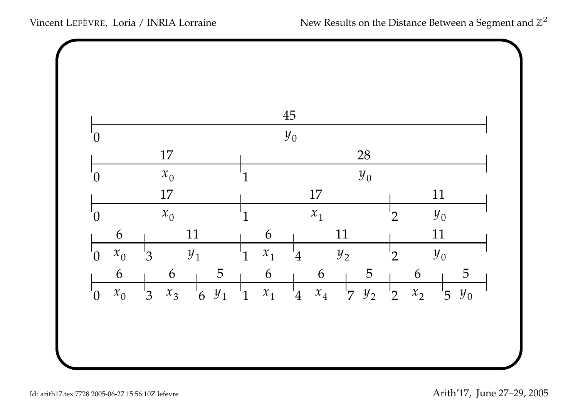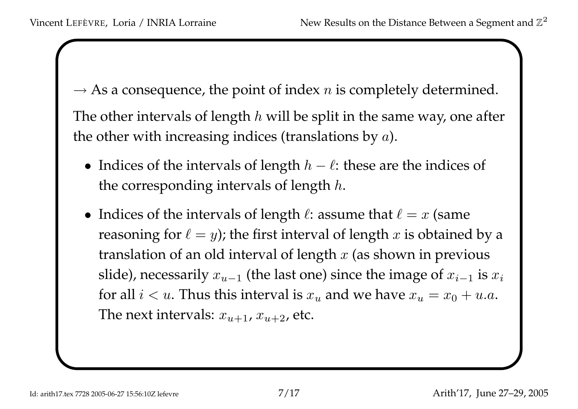$\rightarrow$  As a consequence, the point of index n is completely determined. The other intervals of length  $h$  will be split in the same way, one after the other with increasing indices (translations by  $a$ ).

- Indices of the intervals of length  $h \ell$ : these are the indices of the corresponding intervals of length  $h.$
- Indices of the intervals of length  $\ell$ : assume that  $\ell = x$  (same reasoning for  $\ell = y$ ); the first interval of length  $x$  is obtained by a translation of an old interval of length  $x$  (as shown in previous slide), necessarily  $x_{u-1}$  (the last one) since the image of  $x_{i-1}$  is  $x_i$ for all  $i < u$ . Thus this interval is  $x_u$  and we have  $x_u = x_0 + u.a.$ The next intervals:  $x_{u+1}$ ,  $x_{u+2}$ , etc.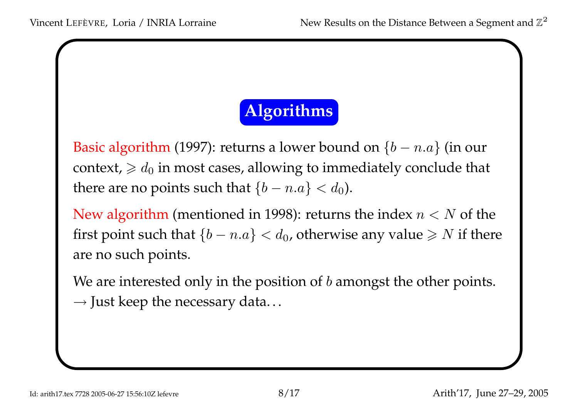# Algorithms

Basic algorithm (1997): returns a lower bound on  $\{b-n.a\}$  (in our context,  $\geqslant d_0$  in most cases, allowing to immediately conclude that there are no points such that  $\{b-n.a\} < d_0$ ).

New algorithm (mentioned in 1998): returns the index  $n < N$  of the first point such that  $\{b-n.a\} < d_0$ , otherwise any value  $\geqslant N$  if there are no such points.

We are interested only in the position of  $b$  amongst the other points.  $\rightarrow$  Just keep the necessary data...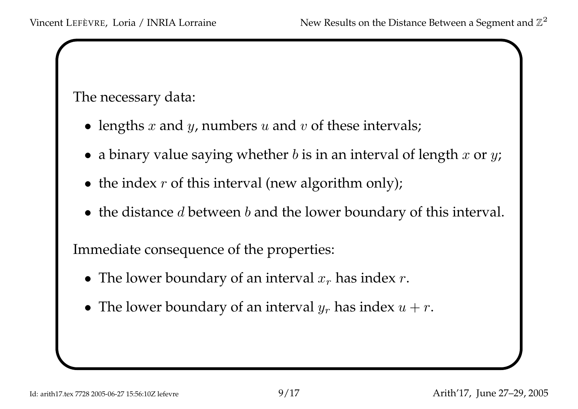#### The necessary data:

- lengths  $x$  and  $y$ , numbers  $u$  and  $v$  of these intervals;
- $\bullet\,$  a binary value saying whether  $b$  is in an interval of length  $x$  or  $y$ ;
- the index  $r$  of this interval (new algorithm only);
- the distance  $d$  between  $b$  and the lower boundary of this interval.

Immediate consequence of the properties:

- The lower boundary of an interval  $x_r$  has index  $r$ .
- The lower boundary of an interval  $y_r$  has index  $u + r$ .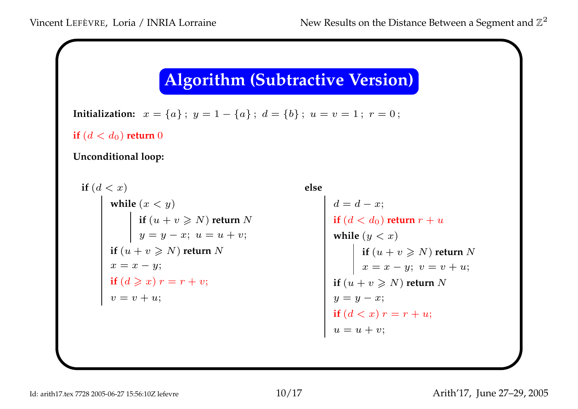#### Algorithm (Subtractive Version)

Initialization:  $x = \{a\}$ ;  $y = 1 - \{a\}$ ;  $d = \{b\}$ ;  $u = v = 1$ ;  $r = 0$ ;

if  $(d < d_0)$  return  $0$ 

#### Unconditional loop:

\n
$$
\text{if } (d < x)
$$
\n

\n\n
$$
\text{while } (x < y)
$$
\n

\n\n
$$
\text{if } (u + v \geq N) \text{ return } N
$$
\n

\n\n
$$
\text{if } (u + v \geq N) \text{ return } N
$$
\n

\n\n
$$
\text{if } (u + v \geq N) \text{ return } N
$$
\n

\n\n
$$
\text{if } (u + v \geq N) \text{ return } N
$$
\n

\n\n
$$
\text{if } (u + v \geq N) \text{ return } N
$$
\n

\n\n
$$
\text{if } (u + v \geq N) \text{ return } N
$$
\n

\n\n
$$
\text{if } (u + v \geq N) \text{ return } N
$$
\n

\n\n
$$
\text{if } (u + v \geq N) \text{ return } N
$$
\n

\n\n
$$
\text{if } (u + v \geq N) \text{ return } N
$$
\n

\n\n
$$
\text{if } (u + v \geq N) \text{ return } N
$$
\n

\n\n
$$
\text{if } (u + v \geq N) \text{ return } N
$$
\n

\n\n
$$
\text{if } (u + v \geq N) \text{ return } N
$$
\n

\n\n
$$
\text{if } (u + v \geq N) \text{ return } N
$$
\n

\n\n
$$
\text{if } (u + v \geq N) \text{ return } N
$$
\n

\n\n
$$
\text{if } (d < x) \text{ return } x = r + u;
$$
\n

\n\n
$$
\text{if } (d < x) \text{ return } x = r + u;
$$
\n

\n\n
$$
\text{if } (d < x) \text{ return } x = r + u;
$$
\n

\n\n
$$
\text{if } (d < x) \text{ return } x = r + u;
$$
\n

\n\n
$$
\text{if } (d < x) \text{ return } x = r + u;
$$
\n

\n\n
$$
\text{if } (d <
$$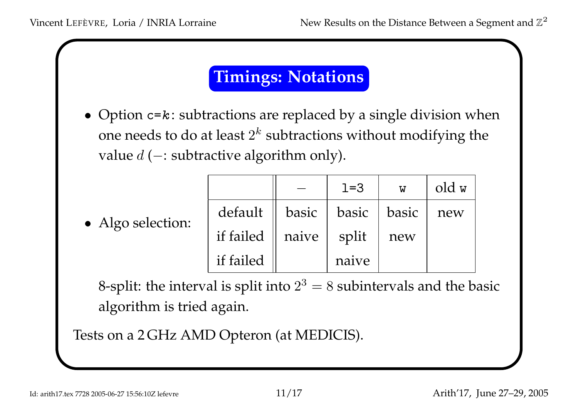## Timings: Notations

• Option  $c = k$ : subtractions are replaced by a single division when one needs to do at least  $2^k$  subtractions without modifying the value  $d$  (—: subtractive algorithm only).

|  |  | Algo selection: |
|--|--|-----------------|
|--|--|-----------------|

|           |       | $1 = 3$ | W     | old w |
|-----------|-------|---------|-------|-------|
| default   | basic | basic   | basic | new   |
| if failed | naive | split   | new   |       |
| if failed |       | naive   |       |       |

8-split: the interval is split into  $2^3=8$  subintervals and the basic algorithm is tried again.

Tests on <sup>a</sup> <sup>2</sup> GHz AMD Opteron (at MEDICIS).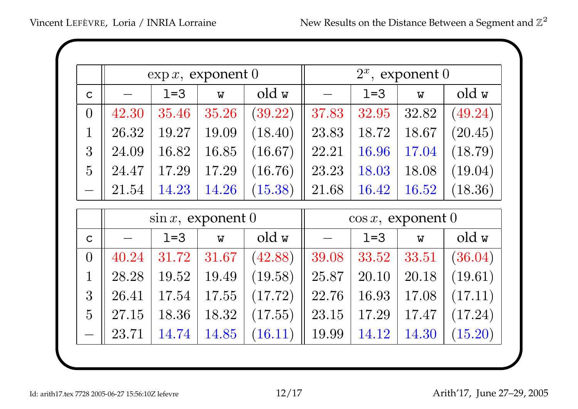|                |       |                       | $\exp x$ , exponent 0     |         |                       | $2^x$ , exponent 0 |                           |         |  |
|----------------|-------|-----------------------|---------------------------|---------|-----------------------|--------------------|---------------------------|---------|--|
| $\mathsf{C}$   |       | $1=3$                 | W                         | old w   |                       | $1=3$              | $\boldsymbol{\mathrm{W}}$ | old w   |  |
| $\overline{0}$ | 42.30 | 35.46                 | 35.26                     | (39.22) | 37.83                 | 32.95              | 32.82                     | (49.24) |  |
| $\mathbf 1$    | 26.32 | 19.27                 | 19.09                     | (18.40) | 23.83                 | 18.72              | 18.67                     | (20.45) |  |
| 3              | 24.09 | 16.82                 | 16.85                     | (16.67) | 22.21                 | 16.96              | 17.04                     | (18.79) |  |
| $\overline{5}$ | 24.47 | 17.29                 | 17.29                     | (16.76) | 23.23                 | 18.03              | 18.08                     | (19.04) |  |
|                | 21.54 | 14.23                 | 14.26                     | (15.38) | 21.68                 | 16.42              | 16.52                     | (18.36) |  |
|                |       | $\sin x$ , exponent 0 |                           |         | $\cos x$ , exponent 0 |                    |                           |         |  |
| $\mathbf C$    |       | $1=3$                 | $\boldsymbol{\mathrm{W}}$ | old w   |                       | $1=3$              | $\overline{\mathbf{W}}$   | old w   |  |
| $\overline{0}$ | 40.24 | 31.72                 | 31.67                     | (42.88) | 39.08                 | 33.52              | 33.51                     | (36.04) |  |
| $\mathbf 1$    | 28.28 | 19.52                 | 19.49                     | (19.58) | 25.87                 | 20.10              | 20.18                     | (19.61) |  |
| 3              | 26.41 | 17.54                 | 17.55                     | (17.72) | 22.76                 | 16.93              | 17.08                     | (17.11) |  |
| $\overline{5}$ | 27.15 | 18.36                 | 18.32                     | (17.55) | 23.15                 | 17.29              | 17.47                     | (17.24) |  |
|                | 23.71 | 14.74                 | 14.85                     | (16.11) | 19.99                 | 14.12              | 14.30                     | (15.20) |  |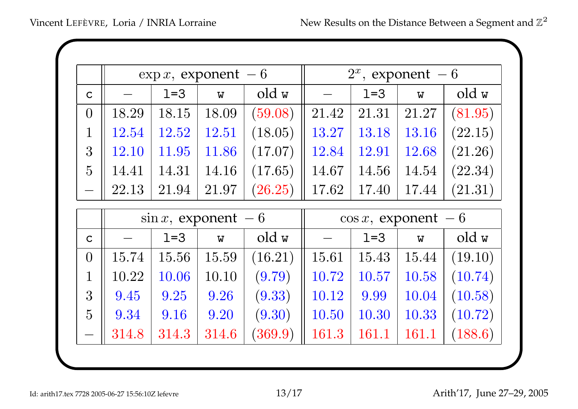|                |       | $\exp x$ , exponent - 6 |                         |         | $2^x$ , exponent – 6    |         |                           |         |
|----------------|-------|-------------------------|-------------------------|---------|-------------------------|---------|---------------------------|---------|
| $\mathsf{C}$   |       | $1=3$                   | W                       | old w   |                         | $1 = 3$ | $\boldsymbol{\mathrm{W}}$ | old w   |
| $\overline{0}$ | 18.29 | 18.15                   | 18.09                   | (59.08) | 21.42                   | 21.31   | 21.27                     | (81.95) |
| $\mathbf 1$    | 12.54 | 12.52                   | 12.51                   | (18.05) | 13.27                   | 13.18   | 13.16                     | (22.15) |
| 3              | 12.10 | 11.95                   | 11.86                   | (17.07) | 12.84                   | 12.91   | 12.68                     | (21.26) |
| $\overline{5}$ | 14.41 | 14.31                   | 14.16                   | (17.65) | 14.67                   | 14.56   | 14.54                     | (22.34) |
|                | 22.13 | 21.94                   | 21.97                   | (26.25) | 17.62                   | 17.40   | 17.44                     | (21.31) |
|                |       | $\sin x$ , exponent – 6 |                         |         | $\cos x$ , exponent – 6 |         |                           |         |
| $\mathsf{C}$   |       | $1 = 3$                 | $\overline{\mathsf{w}}$ | old w   |                         | $1=3$   | $\overline{W}$            | old w   |
| $\overline{0}$ | 15.74 | 15.56                   | 15.59                   | (16.21) | 15.61                   | 15.43   | 15.44                     | (19.10) |
| $\mathbf 1$    | 10.22 | 10.06                   | 10.10                   | (9.79)  | 10.72                   | 10.57   | 10.58                     | (10.74) |
| 3              | 9.45  | 9.25                    | 9.26                    | (9.33)  | 10.12                   | 9.99    | 10.04                     | (10.58) |
| $\overline{5}$ | 9.34  | 9.16                    | 9.20                    | (9.30)  | 10.50                   | 10.30   | 10.33                     | (10.72) |
|                | 314.8 | 314.3                   | 314.6                   | (369.9) | 161.3                   | 161.1   | 161.1                     | (188.6) |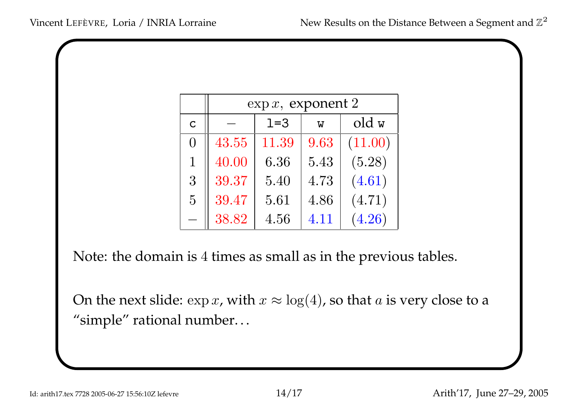|                | $\exp x$ , exponent 2 |       |      |         |  |  |  |  |  |  |  |
|----------------|-----------------------|-------|------|---------|--|--|--|--|--|--|--|
| $\overline{C}$ |                       | old w |      |         |  |  |  |  |  |  |  |
| $\Omega$       | 43.55                 | 11.39 | 9.63 | (11.00) |  |  |  |  |  |  |  |
| $\mathbf{1}$   | 40.00                 | 6.36  | 5.43 | (5.28)  |  |  |  |  |  |  |  |
| 3              | 39.37                 | 5.40  | 4.73 | (4.61)  |  |  |  |  |  |  |  |
| $\overline{5}$ | 39.47                 | 5.61  | 4.86 | (4.71)  |  |  |  |  |  |  |  |
|                | 38.82                 | 4.56  | 4.11 | (4.26)  |  |  |  |  |  |  |  |

Note: the domain is <sup>4</sup> times as small as in the previous tables.

On the next slide:  $\exp x$ , with  $x\approx \log(4)$ , so that  $a$  is very close to a "simple" rational number. . .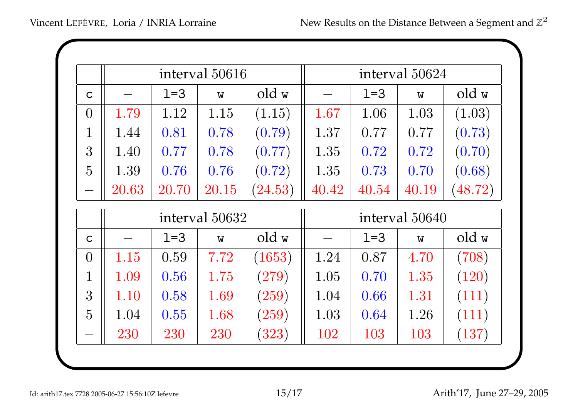|                |       |                | interval 50616            |         | interval 50624 |         |                         |                       |
|----------------|-------|----------------|---------------------------|---------|----------------|---------|-------------------------|-----------------------|
| $\mathsf{C}$   |       | $1=3$          | $\overline{\mathsf{W}}$   | old w   |                | $1 = 3$ | $\overline{\mathbf{W}}$ | old w                 |
| $\theta$       | 1.79  | 1.12           | 1.15                      | (1.15)  | 1.67           | 1.06    | 1.03                    | (1.03)                |
| $\mathbb{1}$   | 1.44  | 0.81           | 0.78                      | (0.79)  | 1.37           | 0.77    | 0.77                    | (0.73)                |
| 3              | 1.40  | 0.77           | 0.78                      | (0.77)  | 1.35           | 0.72    | 0.72                    | (0.70)                |
| $\overline{5}$ | 1.39  | 0.76           | 0.76                      | (0.72)  | 1.35           | 0.73    | 0.70                    | (0.68)                |
|                | 20.63 | 20.70          | 20.15                     | (24.53) | 40.42          | 40.54   | 40.19                   | $\left( 48.72\right)$ |
|                |       | interval 50632 |                           |         | interval 50640 |         |                         |                       |
| $\mathsf{C}$   |       | $1 = 3$        | $\boldsymbol{\mathrm{W}}$ | old w   |                | $1 = 3$ | $\overline{\mathbf{W}}$ | old w                 |
| $\overline{0}$ | 1.15  | 0.59           | 7.72                      | (1653)  | 1.24           | 0.87    | 4.70                    | (708)                 |
| $\overline{1}$ | 1.09  | 0.56           | 1.75                      | (279)   | 1.05           | 0.70    | 1.35                    | (120)                 |
| 3              | 1.10  | 0.58           | 1.69                      | (259)   | 1.04           | 0.66    | 1.31                    | (111)                 |
| $\overline{5}$ | 1.04  | 0.55           | 1.68                      | (259)   | 1.03           | 0.64    | 1.26                    | (111)                 |
|                | 230   | 230            | 230                       | (323)   | 102            | 103     | 103                     | (137)                 |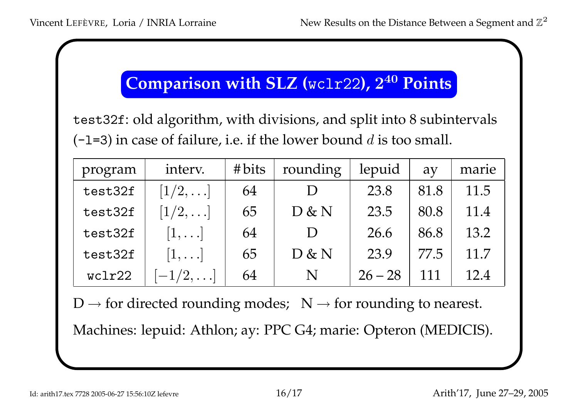# Comparison with SLZ (wc1r22),  $2^{40}$  Points

test32f: old algorithm, with divisions, and split into 8 subintervals (-1=3) in case of failure, i.e. if the lower bound  $d$  is too small.

| program | interv.        | #bits | rounding | lepuid    | $\partial$ | marie |
|---------|----------------|-------|----------|-----------|------------|-------|
| test32f | $[1/2,\ldots]$ | 64    |          | 23.8      | 81.8       | 11.5  |
| test32f | $[1/2,\ldots]$ | 65    | D & N    | 23.5      | 80.8       | 11.4  |
| test32f | $[1,\ldots]$   | 64    |          | 26.6      | 86.8       | 13.2  |
| test32f | $ 1,\ldots $   | 65    | D & N    | 23.9      | 77.5       | 11.7  |
| wclr22  | $-1/2,$        | 64    | N        | $26 - 28$ | 111        | 12.4  |

 $D \rightarrow$  for directed rounding modes;  $N \rightarrow$  for rounding to nearest. Machines: lepuid: Athlon; ay: PPC G4; marie: Opteron (MEDICIS).